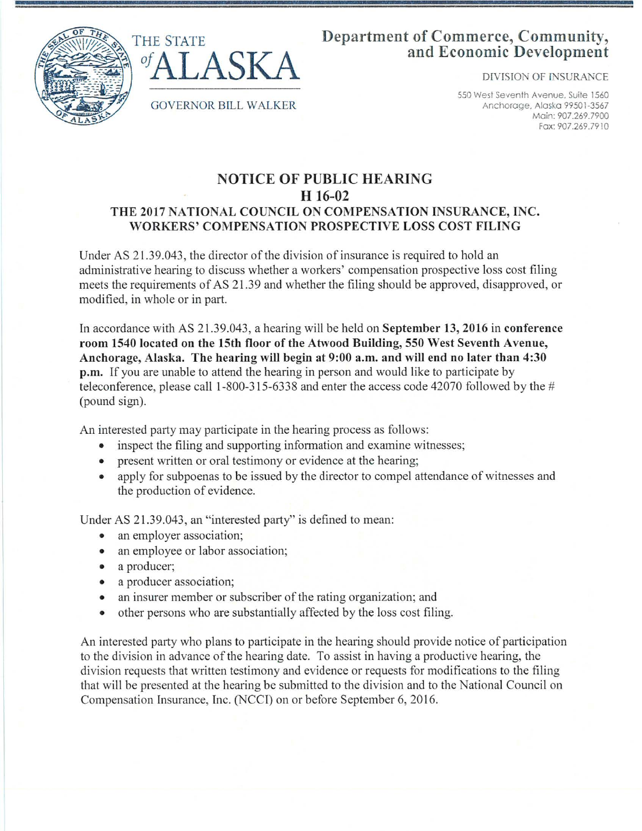



## **Department of Commerce, Community, and Economic Development**

DfVISION OF INSURANCE

550 West Seventh Avenue. Suite 1560 Anchorage, Alaska 99501-3567 Main: 907.269.7900 Fax: 907 .269 .7910

## **NOTICE OF PUBLIC HEARING H 16-02 THE 2017 NATIONAL COUNCIL ON COMPENSATION INSURANCE, INC. WORKERS' COMPENSATION PROSPECTIVE LOSS COST FILING**

Under AS 21.39.043, the director of the division of insurance is required to hold an administrative hearing to discuss whether a workers' compensation prospective loss cost filing meets the requirements of AS 21.39 and whether the filing should be approved, disapproved, or modified, in whole or in part.

In accordance with AS 2 1.39.043, a hearing will be held on **September 13, 2016 in conference room 1540 located on the 15th floor of the Atwood Building, 550 West Seventh A venue, Anchorage, Alaska. The hearing will begin at 9:00 a.m. and will end no later than 4:30 p.m.** If you are unable to attend the hearing in person and would like to participate by teleconference, please call 1-800-315-6338 and enter the access code 42070 followed by the # (pound sign).

An interested party may participate in the hearing process as follows:

- inspect the filing and supporting information and examine witnesses;
- present written or oral testimony or evidence at the hearing;
- apply for subpoenas to be issued by the director to compel attendance of witnesses and the production of evidence.

Under AS 21.39.043, an "interested party" is defined to mean:

- an employer association;
- an employee or labor association;
- a producer;
- a producer association;
- an insurer member or subscriber of the rating organization; and
- other persons who are substantially affected by the loss cost filing.

An interested party who plans to participate in the hearing should provide notice of participation to the division in advance of the hearing date. To assist in having a productive hearing, the division requests that written testimony and evidence or requests for modifications to the filing that will be presented at the hearing be submitted to the division and to the National Council on Compensation Insurance, Inc. (NCCI) on or before September 6, 2016.